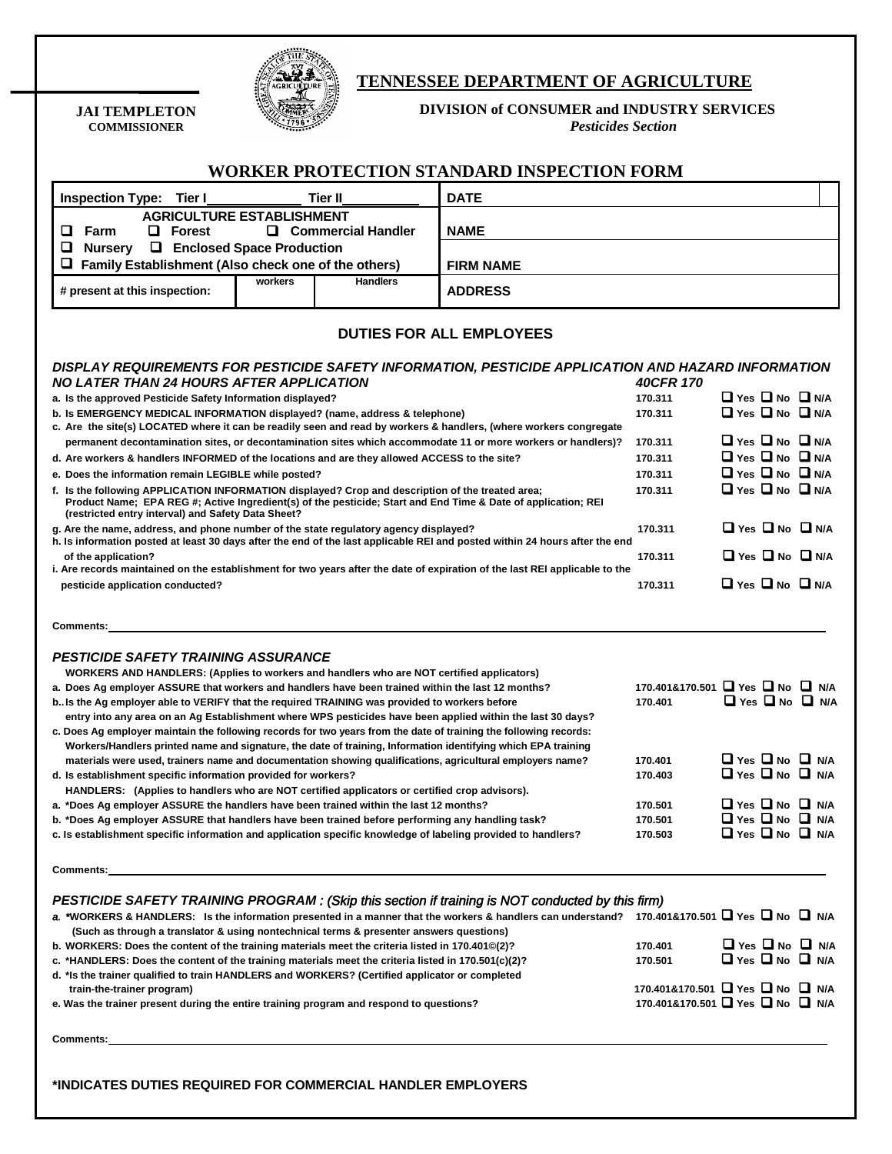

**JAI TEMPLETON COMMISSIONER**

## **TENNESSEE DEPARTMENT OF AGRICULTURE**

**DIVISION of CONSUMER and INDUSTRY SERVICES**

*Pesticides Section*

|                                                                                                                                                                                                                                                                                   |         |                                                         | <b>WORKER PROTECTION STANDARD INSPECTION FORM</b>                                                                                                            |                                 |                                 |                                 |                                 |
|-----------------------------------------------------------------------------------------------------------------------------------------------------------------------------------------------------------------------------------------------------------------------------------|---------|---------------------------------------------------------|--------------------------------------------------------------------------------------------------------------------------------------------------------------|---------------------------------|---------------------------------|---------------------------------|---------------------------------|
| <b>DATE</b><br><b>Inspection Type: Tier I</b><br><b>Tier II</b>                                                                                                                                                                                                                   |         |                                                         |                                                                                                                                                              |                                 |                                 |                                 |                                 |
| <b>AGRICULTURE ESTABLISHMENT</b><br>$\Box$ Commercial Handler<br>o.<br>Farm<br>$\Box$ Forest<br>❏<br><b>Q</b> Enclosed Space Production<br><b>Nursery</b>                                                                                                                         |         |                                                         | <b>NAME</b>                                                                                                                                                  |                                 |                                 |                                 |                                 |
| u<br>Family Establishment (Also check one of the others)                                                                                                                                                                                                                          |         |                                                         | <b>FIRM NAME</b>                                                                                                                                             |                                 |                                 |                                 |                                 |
| # present at this inspection:                                                                                                                                                                                                                                                     | workers | <b>Handlers</b>                                         | <b>ADDRESS</b>                                                                                                                                               |                                 |                                 |                                 |                                 |
|                                                                                                                                                                                                                                                                                   |         |                                                         | <b>DUTIES FOR ALL EMPLOYEES</b>                                                                                                                              |                                 |                                 |                                 |                                 |
| NO LATER THAN 24 HOURS AFTER APPLICATION                                                                                                                                                                                                                                          |         |                                                         | DISPLAY REQUIREMENTS FOR PESTICIDE SAFETY INFORMATION, PESTICIDE APPLICATION AND HAZARD INFORMATION                                                          | 40CFR 170                       |                                 |                                 |                                 |
| a. Is the approved Pesticide Safety Information displayed?                                                                                                                                                                                                                        |         |                                                         |                                                                                                                                                              | 170.311                         |                                 |                                 | $\Box$ Yes $\Box$ No $\Box$ N/A |
| b. Is EMERGENCY MEDICAL INFORMATION displayed? (name, address & telephone)<br>c. Are the site(s) LOCATED where it can be readily seen and read by workers & handlers, (where workers congregate                                                                                   |         |                                                         | 170.311                                                                                                                                                      |                                 |                                 | $\Box$ Yes $\Box$ No $\Box$ N/A |                                 |
| permanent decontamination sites, or decontamination sites which accommodate 11 or more workers or handlers)?                                                                                                                                                                      |         |                                                         | 170.311                                                                                                                                                      |                                 |                                 | $\Box$ Yes $\Box$ No $\Box$ N/A |                                 |
| d. Are workers & handlers INFORMED of the locations and are they allowed ACCESS to the site?                                                                                                                                                                                      |         |                                                         |                                                                                                                                                              | 170.311                         | $\Box$ Yes $\Box$ No $\Box$ N/A |                                 |                                 |
| e. Does the information remain LEGIBLE while posted?                                                                                                                                                                                                                              |         |                                                         |                                                                                                                                                              | 170.311                         |                                 |                                 | $\Box$ Yes $\Box$ No $\Box$ N/A |
| f. Is the following APPLICATION INFORMATION displayed? Crop and description of the treated area;<br>Product Name; EPA REG #; Active Ingredient(s) of the pesticide; Start and End Time & Date of application; REI<br>(restricted entry interval) and Safety Data Sheet?           |         |                                                         | 170.311                                                                                                                                                      |                                 |                                 | $\Box$ Yes $\Box$ No $\Box$ N/A |                                 |
| g. Are the name, address, and phone number of the state regulatory agency displayed?                                                                                                                                                                                              |         |                                                         | 170.311                                                                                                                                                      |                                 |                                 | $\Box$ Yes $\Box$ No $\Box$ N/A |                                 |
| h. Is information posted at least 30 days after the end of the last applicable REI and posted within 24 hours after the end<br>of the application?<br>i. Are records maintained on the establishment for two years after the date of expiration of the last REI applicable to the |         |                                                         |                                                                                                                                                              | 170.311                         |                                 |                                 | $\Box$ Yes $\Box$ No $\Box$ N/A |
| pesticide application conducted?                                                                                                                                                                                                                                                  |         |                                                         |                                                                                                                                                              | 170.311                         |                                 |                                 | $\Box$ Yes $\Box$ No $\Box$ N/A |
| <b>Comments:</b>                                                                                                                                                                                                                                                                  |         |                                                         |                                                                                                                                                              |                                 |                                 |                                 |                                 |
| <b>PESTICIDE SAFETY TRAINING ASSURANCE</b>                                                                                                                                                                                                                                        |         |                                                         |                                                                                                                                                              |                                 |                                 |                                 |                                 |
| WORKERS AND HANDLERS: (Applies to workers and handlers who are NOT certified applicators)                                                                                                                                                                                         |         |                                                         |                                                                                                                                                              | 170.401&170.501 PYes DNo DNA    |                                 |                                 |                                 |
| a. Does Ag employer ASSURE that workers and handlers have been trained within the last 12 months?                                                                                                                                                                                 |         |                                                         |                                                                                                                                                              | 170.401                         |                                 |                                 | $\Box$ Yes $\Box$ No $\Box$ N/A |
| b. Is the Ag employer able to VERIFY that the required TRAINING was provided to workers before<br>entry into any area on an Ag Establishment where WPS pesticides have been applied within the last 30 days?                                                                      |         |                                                         |                                                                                                                                                              |                                 |                                 |                                 |                                 |
| c. Does Ag employer maintain the following records for two years from the date of training the following records:                                                                                                                                                                 |         |                                                         |                                                                                                                                                              |                                 |                                 |                                 |                                 |
| Workers/Handlers printed name and signature, the date of training, Information identifying which EPA training                                                                                                                                                                     |         |                                                         |                                                                                                                                                              | 170.401                         |                                 |                                 | $\Box$ Yes $\Box$ No $\Box$ N/A |
| materials were used, trainers name and documentation showing qualifications, agricultural employers name?<br>d. Is establishment specific information provided for workers?                                                                                                       |         |                                                         | 170.403                                                                                                                                                      |                                 |                                 | $\Box$ Yes $\Box$ No $\Box$ N/A |                                 |
| HANDLERS: (Applies to handlers who are NOT certified applicators or certified crop advisors).                                                                                                                                                                                     |         |                                                         |                                                                                                                                                              |                                 |                                 |                                 |                                 |
| a. *Does Ag employer ASSURE the handlers have been trained within the last 12 months?                                                                                                                                                                                             |         |                                                         | 170.501                                                                                                                                                      |                                 |                                 | $\Box$ Yes $\Box$ No $\Box$ N/A |                                 |
| b. *Does Ag employer ASSURE that handlers have been trained before performing any handling task?                                                                                                                                                                                  |         |                                                         |                                                                                                                                                              | 170.501                         |                                 |                                 | $\Box$ Yes $\Box$ No $\Box$ N/A |
| c. Is establishment specific information and application specific knowledge of labeling provided to handlers?                                                                                                                                                                     |         |                                                         |                                                                                                                                                              | 170.503                         |                                 |                                 | $\Box$ Yes $\Box$ No $\Box$ N/A |
| <b>Comments:</b>                                                                                                                                                                                                                                                                  |         | <u> 1980 - Johann Barbara, martin amerikan basal da</u> |                                                                                                                                                              |                                 |                                 |                                 |                                 |
|                                                                                                                                                                                                                                                                                   |         |                                                         | PESTICIDE SAFETY TRAINING PROGRAM : (Skip this section if training is NOT conducted by this firm)                                                            |                                 |                                 |                                 |                                 |
| (Such as through a translator & using nontechnical terms & presenter answers questions)                                                                                                                                                                                           |         |                                                         | a. *WORKERS & HANDLERS: Is the information presented in a manner that the workers & handlers can understand? 170.401&170.501 $\Box$ Yes $\Box$ No $\Box$ N/A |                                 |                                 |                                 |                                 |
| b. WORKERS: Does the content of the training materials meet the criteria listed in 170.401©(2)?                                                                                                                                                                                   |         |                                                         |                                                                                                                                                              | 170.401                         |                                 |                                 | $\Box$ Yes $\Box$ No $\Box$ N/A |
| c. *HANDLERS: Does the content of the training materials meet the criteria listed in 170.501(c)(2)?                                                                                                                                                                               |         |                                                         | 170.501                                                                                                                                                      |                                 |                                 | $\Box$ Yes $\Box$ No $\Box$ N/A |                                 |
| d. *Is the trainer qualified to train HANDLERS and WORKERS? (Certified applicator or completed                                                                                                                                                                                    |         |                                                         |                                                                                                                                                              | 170.401&170.501 Pres D No D N/A |                                 |                                 |                                 |
| train-the-trainer program)<br>e. Was the trainer present during the entire training program and respond to questions?                                                                                                                                                             |         |                                                         | 170.401&170.501 Pes D No D N/A                                                                                                                               |                                 |                                 |                                 |                                 |
| <b>Comments:</b>                                                                                                                                                                                                                                                                  |         |                                                         |                                                                                                                                                              |                                 |                                 |                                 |                                 |

**\*INDICATES DUTIES REQUIRED FOR COMMERCIAL HANDLER EMPLOYERS**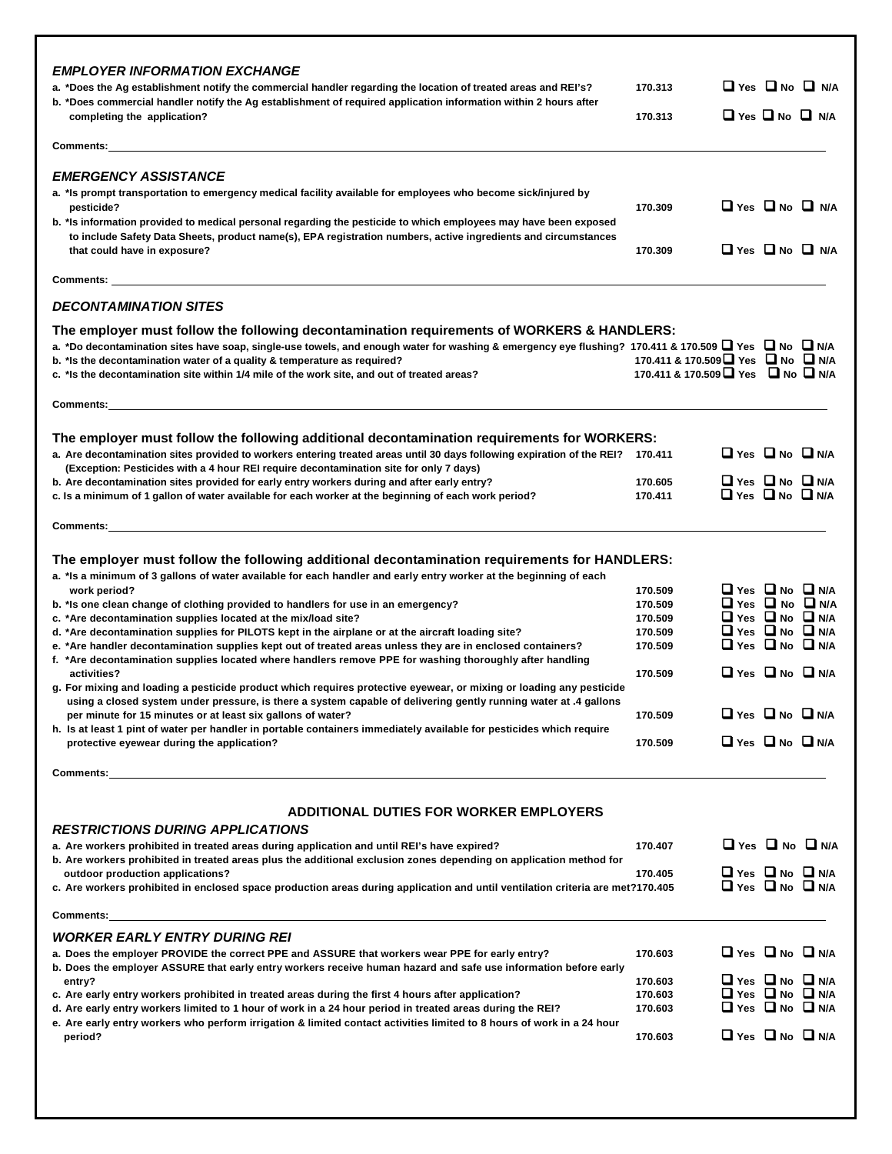| <b>EMPLOYER INFORMATION EXCHANGE</b><br>a. *Does the Ag establishment notify the commercial handler regarding the location of treated areas and REI's?                                                                                                | 170.313                                                                              |                                                                    | $\Box$ Yes $\Box$ No $\Box$ N/A |
|-------------------------------------------------------------------------------------------------------------------------------------------------------------------------------------------------------------------------------------------------------|--------------------------------------------------------------------------------------|--------------------------------------------------------------------|---------------------------------|
| b. *Does commercial handler notify the Ag establishment of required application information within 2 hours after<br>completing the application?                                                                                                       | 170.313                                                                              |                                                                    | $\Box$ Yes $\Box$ No $\Box$ N/A |
|                                                                                                                                                                                                                                                       |                                                                                      |                                                                    |                                 |
| <b>EMERGENCY ASSISTANCE</b>                                                                                                                                                                                                                           |                                                                                      |                                                                    |                                 |
| a. *Is prompt transportation to emergency medical facility available for employees who become sick/injured by<br>pesticide?<br>b. *Is information provided to medical personal regarding the pesticide to which employees may have been exposed       | 170.309                                                                              |                                                                    | $\Box$ Yes $\Box$ No $\Box$ N/A |
| to include Safety Data Sheets, product name(s), EPA registration numbers, active ingredients and circumstances<br>that could have in exposure?                                                                                                        | 170.309                                                                              |                                                                    | $\Box$ Yes $\Box$ No $\Box$ N/A |
| <b>Comments:</b> the comments of the community of the community of the community of the community of the community of the community of the community of the community of the community of the community of the community of the com                   |                                                                                      |                                                                    |                                 |
| <b>DECONTAMINATION SITES</b>                                                                                                                                                                                                                          |                                                                                      |                                                                    |                                 |
| The employer must follow the following decontamination requirements of WORKERS & HANDLERS:<br>a. *Do decontamination sites have soap, single-use towels, and enough water for washing & emergency eye flushing? 170.411 & 170.509 □ Yes □ No □ N/A    |                                                                                      |                                                                    |                                 |
| b. *Is the decontamination water of a quality & temperature as required?<br>c. *Is the decontamination site within 1/4 mile of the work site, and out of treated areas?                                                                               | 170.411 & 170.509 PYes <b>D</b> No <b>D</b> N/A<br>170.411 & 170.509 PYes PINo PIN/A |                                                                    |                                 |
| <b>Comments:</b> the comments of the comments of the comments of the comments of the comments of the comments of the comments of the comments of the comments of the comments of the comments of the comments of the comments of th                   |                                                                                      |                                                                    |                                 |
| The employer must follow the following additional decontamination requirements for WORKERS:                                                                                                                                                           |                                                                                      |                                                                    |                                 |
| a. Are decontamination sites provided to workers entering treated areas until 30 days following expiration of the REI? 170.411<br>(Exception: Pesticides with a 4 hour REI require decontamination site for only 7 days)                              |                                                                                      | $\Box$ Yes $\Box$ No $\Box$ N/A                                    |                                 |
| b. Are decontamination sites provided for early entry workers during and after early entry?<br>c. Is a minimum of 1 gallon of water available for each worker at the beginning of each work period?                                                   | 170.605<br>170.411                                                                   | Ul Yes UN DI N/A<br>$\Box$ Yes $\Box$ No $\Box$ N/A                |                                 |
| Comments:                                                                                                                                                                                                                                             |                                                                                      |                                                                    |                                 |
| The employer must follow the following additional decontamination requirements for HANDLERS:                                                                                                                                                          |                                                                                      |                                                                    |                                 |
| a. *Is a minimum of 3 gallons of water available for each handler and early entry worker at the beginning of each                                                                                                                                     |                                                                                      |                                                                    |                                 |
| work period?                                                                                                                                                                                                                                          | 170.509                                                                              | $\Box$ Yes $\Box$ No $\Box$ N/A                                    |                                 |
| b. *Is one clean change of clothing provided to handlers for use in an emergency?                                                                                                                                                                     | 170.509<br>170.509                                                                   | $\Box$ Yes $\Box$ No $\Box$ N/A<br>$\Box$ Yes $\Box$ No $\Box$ N/A |                                 |
| c. *Are decontamination supplies located at the mix/load site?<br>d. *Are decontamination supplies for PILOTS kept in the airplane or at the aircraft loading site?                                                                                   | 170.509                                                                              | $\Box$ Yes $\Box$ No $\Box$ N/A                                    |                                 |
| e. *Are handler decontamination supplies kept out of treated areas unless they are in enclosed containers?<br>f. *Are decontamination supplies located where handlers remove PPE for washing thoroughly after handling                                | 170.509                                                                              | $\Box$ Yes $\Box$ No $\Box$ N/A                                    |                                 |
| activities?                                                                                                                                                                                                                                           | 170.509                                                                              | $\Box$ Yes $\Box$ No $\Box$ N/A                                    |                                 |
| g. For mixing and loading a pesticide product which requires protective eyewear, or mixing or loading any pesticide<br>using a closed system under pressure, is there a system capable of delivering gently running water at .4 gallons               |                                                                                      | <b>O</b> Yes <b>D</b> No <b>D</b> N/A                              |                                 |
| per minute for 15 minutes or at least six gallons of water?<br>h. Is at least 1 pint of water per handler in portable containers immediately available for pesticides which require                                                                   | 170.509                                                                              |                                                                    |                                 |
| protective eyewear during the application?                                                                                                                                                                                                            | 170.509                                                                              | $\Box$ Yes $\Box$ No $\Box$ N/A                                    |                                 |
| <b>Comments:</b> the comments of the commutation of the commutation of the commutation of the commutation of the commutation of the commutation of the commutation of the commutation of the commutation of the commutation of the                    |                                                                                      |                                                                    |                                 |
| <b>ADDITIONAL DUTIES FOR WORKER EMPLOYERS</b>                                                                                                                                                                                                         |                                                                                      |                                                                    |                                 |
| <b>RESTRICTIONS DURING APPLICATIONS</b>                                                                                                                                                                                                               |                                                                                      |                                                                    |                                 |
| a. Are workers prohibited in treated areas during application and until REI's have expired?<br>b. Are workers prohibited in treated areas plus the additional exclusion zones depending on application method for<br>outdoor production applications? | 170.407<br>170.405                                                                   | $\Box$ Yes $\Box$ No $\Box$ N/A                                    | $\Box$ Yes $\Box$ No $\Box$ N/A |
| c. Are workers prohibited in enclosed space production areas during application and until ventilation criteria are met?170.405                                                                                                                        |                                                                                      | $\Box$ Yes $\Box$ No $\Box$ N/A                                    |                                 |
| Comments: <u>with the comments of the community of the community of the community of the community of the community of the community of the community of the community of the community of the community of the community of the</u>                  |                                                                                      |                                                                    |                                 |
| <b>WORKER EARLY ENTRY DURING REI</b>                                                                                                                                                                                                                  |                                                                                      |                                                                    |                                 |
| a. Does the employer PROVIDE the correct PPE and ASSURE that workers wear PPE for early entry?<br>b. Does the employer ASSURE that early entry workers receive human hazard and safe use information before early                                     | 170.603                                                                              | $\Box$ Yes $\Box$ No $\Box$ N/A                                    |                                 |
| entry?<br>c. Are early entry workers prohibited in treated areas during the first 4 hours after application?                                                                                                                                          | 170.603<br>170.603                                                                   | $\Box$ Yes $\Box$ No $\Box$ N/A                                    | $\Box$ Yes $\Box$ No $\Box$ N/A |
| d. Are early entry workers limited to 1 hour of work in a 24 hour period in treated areas during the REI?<br>e. Are early entry workers who perform irrigation & limited contact activities limited to 8 hours of work in a 24 hour                   | 170.603                                                                              | $\Box$ Yes $\Box$ No $\Box$ N/A                                    |                                 |
| period?                                                                                                                                                                                                                                               | 170.603                                                                              | $\Box$ Yes $\Box$ No $\Box$ N/A                                    |                                 |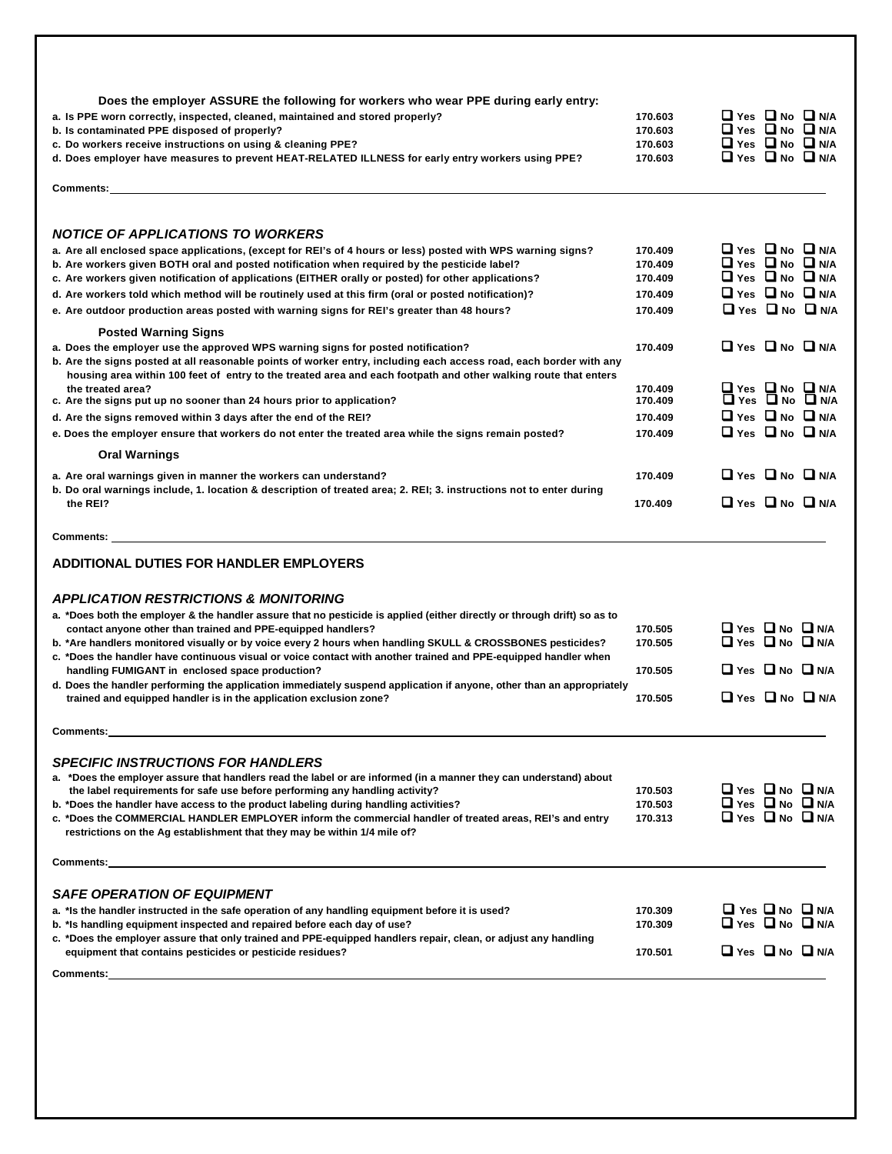| Does the employer ASSURE the following for workers who wear PPE during early entry:                                                                                                                                                                                                                                       |                    |                                                                    |                                                    |
|---------------------------------------------------------------------------------------------------------------------------------------------------------------------------------------------------------------------------------------------------------------------------------------------------------------------------|--------------------|--------------------------------------------------------------------|----------------------------------------------------|
| a. Is PPE worn correctly, inspected, cleaned, maintained and stored properly?                                                                                                                                                                                                                                             | 170.603            | Ulyes Uno Un/A                                                     |                                                    |
| b. Is contaminated PPE disposed of properly?                                                                                                                                                                                                                                                                              | 170.603            | $\Box$ Yes $\Box$ No $\Box$ N/A                                    |                                                    |
| c. Do workers receive instructions on using & cleaning PPE?                                                                                                                                                                                                                                                               | 170.603            | $\Box$ Yes $\Box$ No $\Box$ N/A                                    |                                                    |
| d. Does employer have measures to prevent HEAT-RELATED ILLNESS for early entry workers using PPE?                                                                                                                                                                                                                         | 170.603            | $\Box$ Yes $\Box$ No $\Box$ N/A                                    |                                                    |
| Comments:                                                                                                                                                                                                                                                                                                                 |                    |                                                                    |                                                    |
| <b>NOTICE OF APPLICATIONS TO WORKERS</b>                                                                                                                                                                                                                                                                                  |                    |                                                                    |                                                    |
| a. Are all enclosed space applications, (except for REI's of 4 hours or less) posted with WPS warning signs?                                                                                                                                                                                                              | 170.409            | $\Box$ Yes $\Box$ No $\Box$ N/A                                    |                                                    |
| b. Are workers given BOTH oral and posted notification when required by the pesticide label?                                                                                                                                                                                                                              | 170.409            | O Yes O No O N/A                                                   |                                                    |
| c. Are workers given notification of applications (EITHER orally or posted) for other applications?                                                                                                                                                                                                                       | 170.409            | $\Box$ Yes $\Box$ No $\Box$ N/A                                    |                                                    |
| d. Are workers told which method will be routinely used at this firm (oral or posted notification)?                                                                                                                                                                                                                       | 170.409            | $\Box$ Yes $\Box$ No $\Box$ N/A                                    |                                                    |
| e. Are outdoor production areas posted with warning signs for REI's greater than 48 hours?                                                                                                                                                                                                                                | 170.409            |                                                                    | $\Box$ Yes $\Box$ No $\Box$ N/A                    |
| <b>Posted Warning Signs</b>                                                                                                                                                                                                                                                                                               |                    |                                                                    |                                                    |
| a. Does the employer use the approved WPS warning signs for posted notification?<br>b. Are the signs posted at all reasonable points of worker entry, including each access road, each border with any<br>housing area within 100 feet of entry to the treated area and each footpath and other walking route that enters | 170.409            | $\Box$ Yes $\Box$ No $\Box$ N/A                                    |                                                    |
| the treated area?<br>c. Are the signs put up no sooner than 24 hours prior to application?                                                                                                                                                                                                                                | 170.409<br>170.409 |                                                                    | <b>O</b> Yes <b>O</b> No O N/A<br>O Yes O No O N/A |
|                                                                                                                                                                                                                                                                                                                           |                    | $\Box$ Yes $\Box$ No $\Box$ N/A                                    |                                                    |
| d. Are the signs removed within 3 days after the end of the REI?                                                                                                                                                                                                                                                          | 170.409            |                                                                    |                                                    |
| e. Does the employer ensure that workers do not enter the treated area while the signs remain posted?                                                                                                                                                                                                                     | 170.409            | $\Box$ Yes $\Box$ No $\Box$ N/A                                    |                                                    |
| <b>Oral Warnings</b>                                                                                                                                                                                                                                                                                                      |                    |                                                                    |                                                    |
| a. Are oral warnings given in manner the workers can understand?                                                                                                                                                                                                                                                          | 170.409            | $\Box$ Yes $\Box$ No $\Box$ N/A                                    |                                                    |
| b. Do oral warnings include, 1. location & description of treated area; 2. REI; 3. instructions not to enter during<br>the REI?                                                                                                                                                                                           | 170.409            | $\Box$ Yes $\Box$ No $\Box$ N/A                                    |                                                    |
| <b>Comments:</b>                                                                                                                                                                                                                                                                                                          |                    |                                                                    |                                                    |
| ADDITIONAL DUTIES FOR HANDLER EMPLOYERS                                                                                                                                                                                                                                                                                   |                    |                                                                    |                                                    |
| <b>APPLICATION RESTRICTIONS &amp; MONITORING</b>                                                                                                                                                                                                                                                                          |                    |                                                                    |                                                    |
| a. *Does both the employer & the handler assure that no pesticide is applied (either directly or through drift) so as to                                                                                                                                                                                                  |                    |                                                                    |                                                    |
| contact anyone other than trained and PPE-equipped handlers?                                                                                                                                                                                                                                                              | 170.505            | $\Box$ Yes $\Box$ No $\Box$ N/A                                    |                                                    |
|                                                                                                                                                                                                                                                                                                                           | 170.505            | <b>O</b> Yes <b>O</b> No <b>O</b> N/A                              |                                                    |
| b. *Are handlers monitored visually or by voice every 2 hours when handling SKULL & CROSSBONES pesticides?                                                                                                                                                                                                                |                    |                                                                    |                                                    |
| c. *Does the handler have continuous visual or voice contact with another trained and PPE-equipped handler when                                                                                                                                                                                                           |                    |                                                                    |                                                    |
| handling FUMIGANT in enclosed space production?                                                                                                                                                                                                                                                                           | 170.505            | $\Box$ Yes $\Box$ No $\Box$ N/A                                    |                                                    |
| d. Does the handler performing the application immediately suspend application if anyone, other than an appropriately<br>trained and equipped handler is in the application exclusion zone?                                                                                                                               | 170.505            | $\Box$ Yes $\Box$ No $\Box$ N/A                                    |                                                    |
|                                                                                                                                                                                                                                                                                                                           |                    |                                                                    |                                                    |
| <b>Comments:</b>                                                                                                                                                                                                                                                                                                          |                    |                                                                    |                                                    |
| <b>SPECIFIC INSTRUCTIONS FOR HANDLERS</b>                                                                                                                                                                                                                                                                                 |                    |                                                                    |                                                    |
| a. *Does the employer assure that handlers read the label or are informed (in a manner they can understand) about                                                                                                                                                                                                         |                    |                                                                    |                                                    |
| the label requirements for safe use before performing any handling activity?                                                                                                                                                                                                                                              | 170.503            | $\Box$ Yes $\Box$ No $\Box$ N/A                                    |                                                    |
| b. *Does the handler have access to the product labeling during handling activities?                                                                                                                                                                                                                                      | 170.503            | <b>O</b> Yes <b>O</b> No <b>O</b> N/A                              |                                                    |
| c. *Does the COMMERCIAL HANDLER EMPLOYER inform the commercial handler of treated areas, REI's and entry<br>restrictions on the Ag establishment that they may be within 1/4 mile of?                                                                                                                                     | 170.313            | $\Box$ Yes $\Box$ No $\Box$ N/A                                    |                                                    |
| <b>Comments: Exercise Comments:</b> And All Comments: All Comments: All Comments: All Comments: All Comments: All Comments: All Comments: All Comments: All Comments: All Comments: All Comments: All Comments: All Comments: All C                                                                                       |                    |                                                                    |                                                    |
| <b>SAFE OPERATION OF EQUIPMENT</b>                                                                                                                                                                                                                                                                                        |                    |                                                                    |                                                    |
|                                                                                                                                                                                                                                                                                                                           |                    |                                                                    |                                                    |
| a. *Is the handler instructed in the safe operation of any handling equipment before it is used?<br>b. *Is handling equipment inspected and repaired before each day of use?                                                                                                                                              | 170.309<br>170.309 | $\Box$ Yes $\Box$ No $\Box$ N/A<br>$\Box$ Yes $\Box$ No $\Box$ N/A |                                                    |
| c. *Does the employer assure that only trained and PPE-equipped handlers repair, clean, or adjust any handling                                                                                                                                                                                                            |                    |                                                                    |                                                    |
| equipment that contains pesticides or pesticide residues?                                                                                                                                                                                                                                                                 | 170.501            | $\Box$ Yes $\Box$ No $\Box$ N/A                                    |                                                    |
|                                                                                                                                                                                                                                                                                                                           |                    |                                                                    |                                                    |